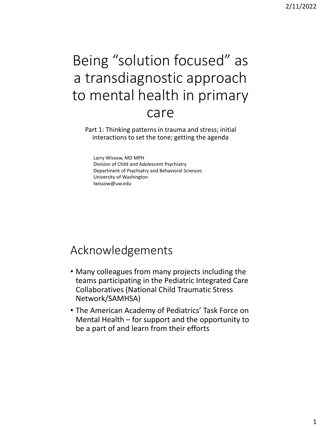# Being "solution focused" as a transdiagnostic approach to mental health in primary care

 Part 1: Thinking patterns in trauma and stress; initial interactions to set the tone; getting the agenda

 Division of Child and Adolescent Psychiatry Larry Wissow, MD MPH Department of Psychiatry and Behavioral Sciences University of Washington [lwissow@uw.edu](mailto:lwissow@uw.edu) 

#### Acknowledgements

- Many colleagues from many projects including the teams participating in the Pediatric Integrated Care Collaboratives (National Child Traumatic Stress Network/SAMHSA)
- Mental Health for support and the opportunity to be a part of and learn from their efforts • The American Academy of Pediatrics' Task Force on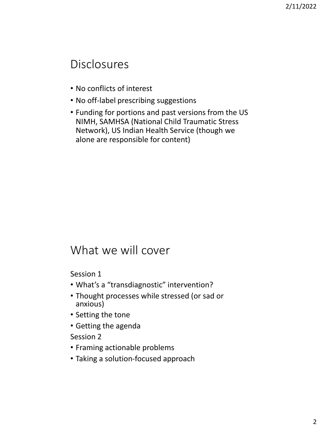#### Disclosures

- No conflicts of interest
- No off-label prescribing suggestions
- NIMH, SAMHSA (National Child Traumatic Stress Network), US Indian Health Service (though we • Funding for portions and past versions from the US alone are responsible for content)

#### What we will cover

Session 1

- What's a "transdiagnostic" intervention?
- • Thought processes while stressed (or sad or anxious)
- Setting the tone
- Getting the agenda

Session 2

- Framing actionable problems
- Taking a solution-focused approach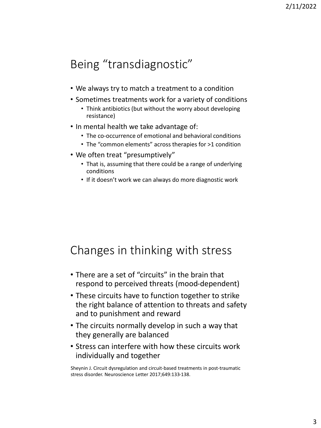# Being "transdiagnostic"

- We always try to match a treatment to a condition
- • Sometimes treatments work for a variety of conditions
	- Think antibiotics (but without the worry about developing resistance)
- In mental health we take advantage of:
	- The co-occurrence of emotional and behavioral conditions
	- The "common elements" across therapies for >1 condition
- • We often treat "presumptively"
	- That is, assuming that there could be a range of underlying conditions
	- If it doesn't work we can always do more diagnostic work

#### Changes in thinking with stress

- • There are a set of "circuits" in the brain that respond to perceived threats (mood-dependent)
- • These circuits have to function together to strike the right balance of attention to threats and safety and to punishment and reward
- The circuits normally develop in such a way that they generally are balanced
- Stress can interfere with how these circuits work individually and together

 Sheynin J. Circuit dysregulation and circuit-based treatments in post-traumatic stress disorder. Neuroscience Letter 2017;649:133-138.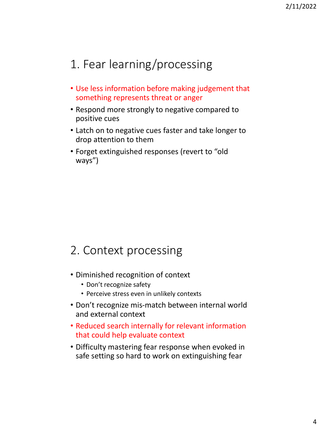# 1. Fear learning/processing

- something represents threat or anger • Use less information before making judgement that
- Respond more strongly to negative compared to positive cues
- • Latch on to negative cues faster and take longer to drop attention to them
- • Forget extinguished responses (revert to "old ways")

#### 2. Context processing

- Diminished recognition of context
	- Don't recognize safety
	- Perceive stress even in unlikely contexts
- • Don't recognize mis-match between internal world and external context
- that could help evaluate context • Reduced search internally for relevant information
- safe setting so hard to work on extinguishing fear • Difficulty mastering fear response when evoked in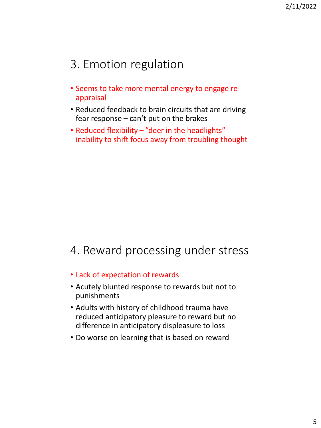### 3. Emotion regulation

- • Seems to take more mental energy to engage reappraisal
- fear response can't put on the brakes • Reduced feedback to brain circuits that are driving
- inability to shift focus away from troubling thought • Reduced flexibility – "deer in the headlights"

#### 4. Reward processing under stress

- Lack of expectation of rewards
- Acutely blunted response to rewards but not to punishments
- Adults with history of childhood trauma have reduced anticipatory pleasure to reward but no difference in anticipatory displeasure to loss
- Do worse on learning that is based on reward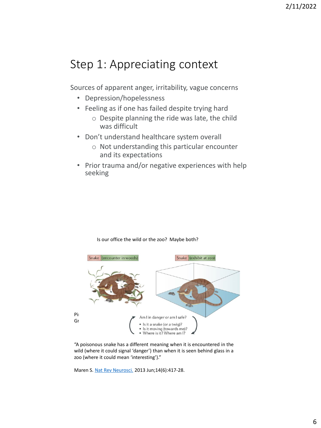#### Step 1: Appreciating context

Sources of apparent anger, irritability, vague concerns

- Depression/hopelessness
- Feeling as if one has failed despite trying hard
	- o Despite planning the ride was late, the child was difficult
- Don't understand healthcare system overall
	- o Not understanding this particular encounter and its expectations
- Prior trauma and/or negative experiences with help seeking



Is our office the wild or the zoo? Maybe both?

 "A poisonous snake has a different meaning when it is encountered in the wild (where it could signal 'danger') than when it is seen behind glass in a zoo (where it could mean 'interesting')."

Maren S. [Nat Rev Neurosci.](https://www-ncbi-nlm-nih-gov.offcampus.lib.washington.edu/pubmed/23635870) 2013 Jun;14(6):417-28.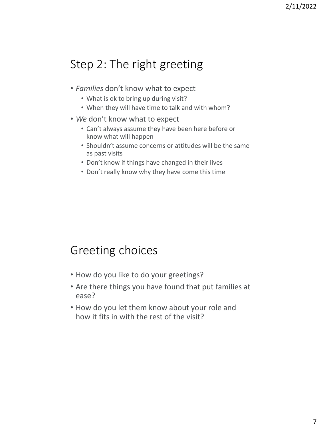# Step 2: The right greeting

- • *Families* don't know what to expect
	- What is ok to bring up during visit?
	- When they will have time to talk and with whom?
- *We* don't know what to expect
	- Can't always assume they have been here before or know what will happen
	- Shouldn't assume concerns or attitudes will be the same as past visits
	- Don't know if things have changed in their lives
	- Don't really know why they have come this time

### Greeting choices

- How do you like to do your greetings?
- Are there things you have found that put families at ease?
- • How do you let them know about your role and how it fits in with the rest of the visit?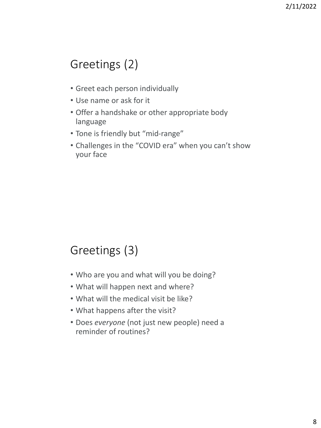# Greetings (2)

- Greet each person individually
- Use name or ask for it
- Offer a handshake or other appropriate body language
- Tone is friendly but "mid-range"
- • Challenges in the "COVID era" when you can't show your face

# Greetings (3)

- Who are you and what will you be doing?
- What will happen next and where?
- What will the medical visit be like?
- What happens after the visit?
- • Does *everyone* (not just new people) need a reminder of routines?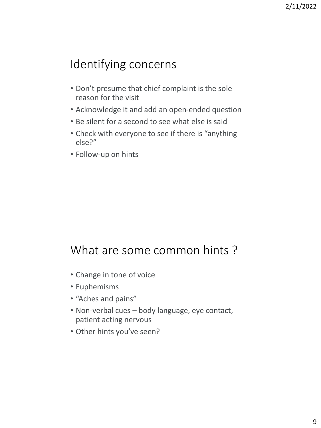# Identifying concerns

- • Don't presume that chief complaint is the sole reason for the visit
- Acknowledge it and add an open-ended question
- Be silent for a second to see what else is said
- • Check with everyone to see if there is "anything else?"
- Follow-up on hints

### What are some common hints ?

- Change in tone of voice
- Euphemisms
- "Aches and pains"
- Non-verbal cues body language, eye contact, patient acting nervous
- Other hints you've seen?